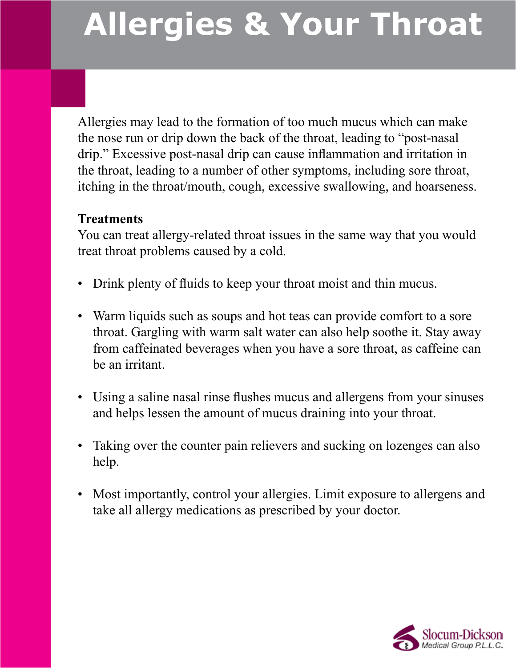## **Allergies & Your Throat**

Allergies may lead to the formation of too much mucus which can make the nose run or drip down the back of the throat, leading to "post-nasal drip." Excessive post-nasal drip can cause inflammation and irritation in the throat, leading to a number of other symptoms, including sore throat, itching in the throat/mouth, cough, excessive swallowing, and hoarseness.

## **Treatments**

You can treat allergy-related throat issues in the same way that you would treat throat problems caused by a cold.

- Drink plenty of fluids to keep your throat moist and thin mucus.
- Warm liquids such as soups and hot teas can provide comfort to a sore throat. Gargling with warm salt water can also help soothe it. Stay away from caffeinated beverages when you have a sore throat, as caffeine can be an irritant.
- Using a saline nasal rinse flushes mucus and allergens from your sinuses and helps lessen the amount of mucus draining into your throat.
- Taking over the counter pain relievers and sucking on lozenges can also help.
- Most importantly, control your allergies. Limit exposure to allergens and take all allergy medications as prescribed by your doctor.